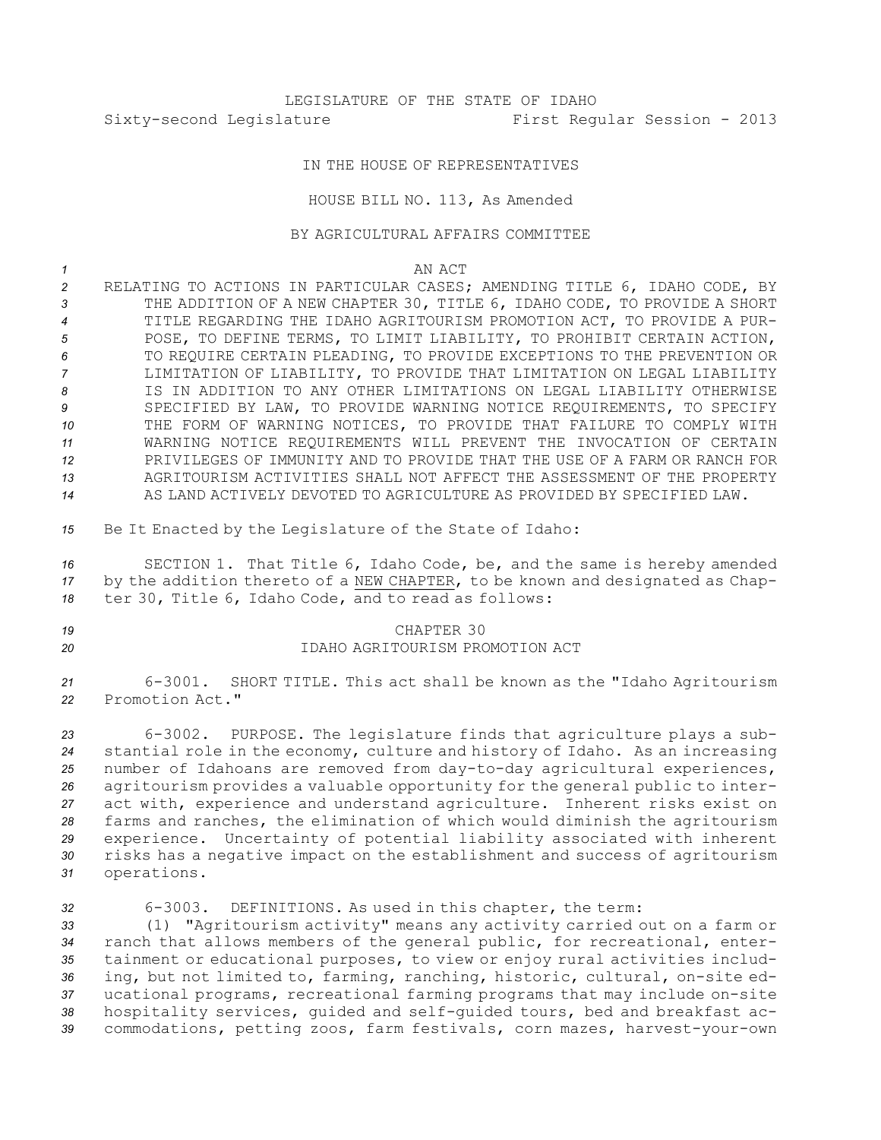LEGISLATURE OF THE STATE OF IDAHO Sixty-second Legislature First Regular Session - 2013

## IN THE HOUSE OF REPRESENTATIVES

## HOUSE BILL NO. 113, As Amended

## BY AGRICULTURAL AFFAIRS COMMITTEE

*1* AN ACT

- *<sup>2</sup>* RELATING TO ACTIONS IN PARTICULAR CASES; AMENDING TITLE 6, IDAHO CODE, BY *<sup>3</sup>* THE ADDITION OF A NEW CHAPTER 30, TITLE 6, IDAHO CODE, TO PROVIDE A SHORT *4* TITLE REGARDING THE IDAHO AGRITOURISM PROMOTION ACT, TO PROVIDE A PUR-*5* POSE, TO DEFINE TERMS, TO LIMIT LIABILITY, TO PROHIBIT CERTAIN ACTION, *6* TO REQUIRE CERTAIN PLEADING, TO PROVIDE EXCEPTIONS TO THE PREVENTION OR *7* LIMITATION OF LIABILITY, TO PROVIDE THAT LIMITATION ON LEGAL LIABILITY *8* IS IN ADDITION TO ANY OTHER LIMITATIONS ON LEGAL LIABILITY OTHERWISE *9* SPECIFIED BY LAW, TO PROVIDE WARNING NOTICE REQUIREMENTS, TO SPECIFY *10* THE FORM OF WARNING NOTICES, TO PROVIDE THAT FAILURE TO COMPLY WITH *11* WARNING NOTICE REQUIREMENTS WILL PREVENT THE INVOCATION OF CERTAIN *12* PRIVILEGES OF IMMUNITY AND TO PROVIDE THAT THE USE OF A FARM OR RANCH FOR *13* AGRITOURISM ACTIVITIES SHALL NOT AFFECT THE ASSESSMENT OF THE PROPERTY *14* AS LAND ACTIVELY DEVOTED TO AGRICULTURE AS PROVIDED BY SPECIFIED LAW.
- *<sup>15</sup>* Be It Enacted by the Legislature of the State of Idaho:

*<sup>16</sup>* SECTION 1. That Title 6, Idaho Code, be, and the same is hereby amended *<sup>17</sup>* by the addition thereto of <sup>a</sup> NEW CHAPTER, to be known and designated as Chap-*<sup>18</sup>* ter 30, Title 6, Idaho Code, and to read as follows:

## *19* CHAPTER 30 *20* IDAHO AGRITOURISM PROMOTION ACT

*<sup>21</sup>* 6-3001. SHORT TITLE. This act shall be known as the "Idaho Agritourism *22* Promotion Act."

 6-3002. PURPOSE. The legislature finds that agriculture plays <sup>a</sup> sub- stantial role in the economy, culture and history of Idaho. As an increasing number of Idahoans are removed from day-to-day agricultural experiences, agritourism provides <sup>a</sup> valuable opportunity for the general public to inter- act with, experience and understand agriculture. Inherent risks exist on farms and ranches, the elimination of which would diminish the agritourism experience. Uncertainty of potential liability associated with inherent risks has <sup>a</sup> negative impact on the establishment and success of agritourism operations.

 6-3003. DEFINITIONS. As used in this chapter, the term: (1) "Agritourism activity" means any activity carried out on <sup>a</sup> farm or ranch that allows members of the general public, for recreational, enter- tainment or educational purposes, to view or enjoy rural activities includ- ing, but not limited to, farming, ranching, historic, cultural, on-site ed- ucational programs, recreational farming programs that may include on-site hospitality services, guided and self-guided tours, bed and breakfast ac-commodations, petting zoos, farm festivals, corn mazes, harvest-your-own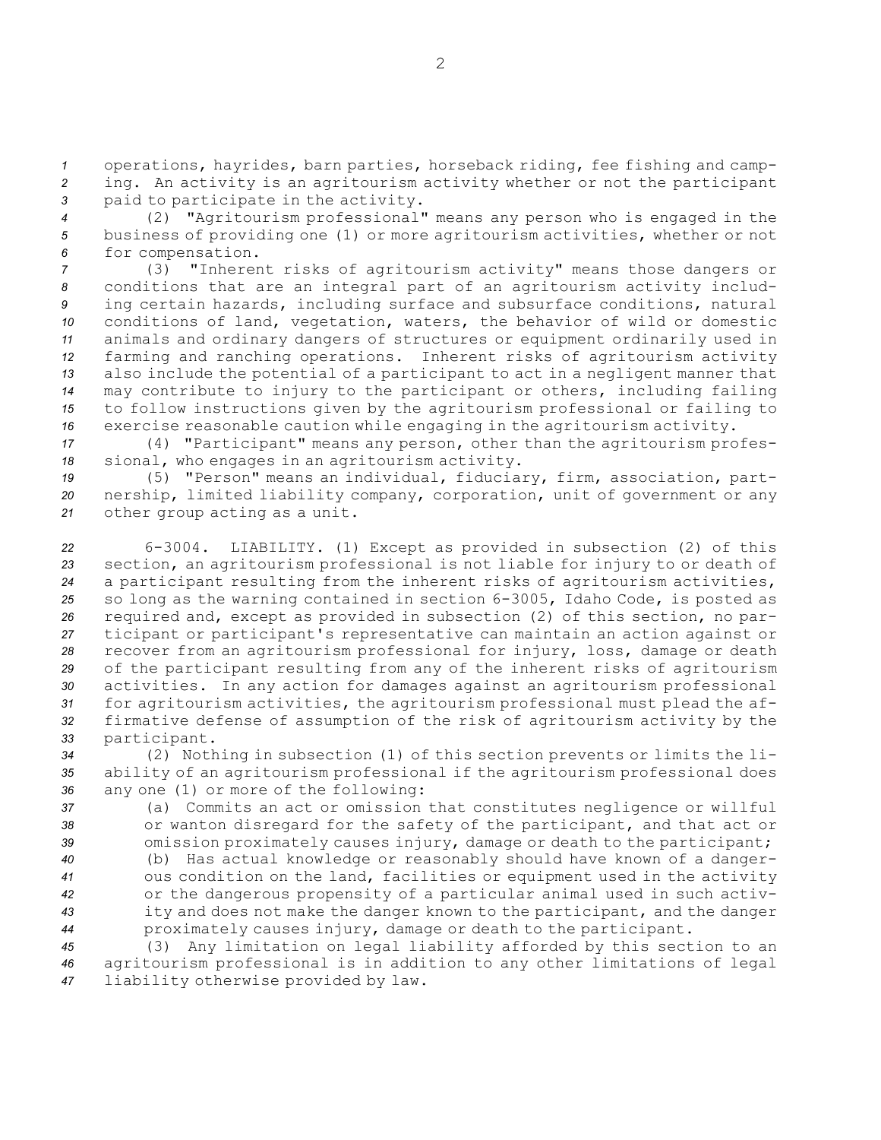*<sup>1</sup>* operations, hayrides, barn parties, horseback riding, fee fishing and camp-*<sup>2</sup>* ing. An activity is an agritourism activity whether or not the participant *<sup>3</sup>* paid to participate in the activity.

*<sup>4</sup>* (2) "Agritourism professional" means any person who is engaged in the *<sup>5</sup>* business of providing one (1) or more agritourism activities, whether or not *<sup>6</sup>* for compensation.

 (3) "Inherent risks of agritourism activity" means those dangers or conditions that are an integral part of an agritourism activity includ- ing certain hazards, including surface and subsurface conditions, natural conditions of land, vegetation, waters, the behavior of wild or domestic animals and ordinary dangers of structures or equipment ordinarily used in farming and ranching operations. Inherent risks of agritourism activity also include the potential of <sup>a</sup> participant to act in <sup>a</sup> negligent manner that may contribute to injury to the participant or others, including failing to follow instructions given by the agritourism professional or failing to exercise reasonable caution while engaging in the agritourism activity.

*<sup>17</sup>* (4) "Participant" means any person, other than the agritourism profes-*<sup>18</sup>* sional, who engages in an agritourism activity.

*<sup>19</sup>* (5) "Person" means an individual, fiduciary, firm, association, part-*<sup>20</sup>* nership, limited liability company, corporation, unit of government or any *<sup>21</sup>* other group acting as <sup>a</sup> unit.

 6-3004. LIABILITY. (1) Except as provided in subsection (2) of this section, an agritourism professional is not liable for injury to or death of <sup>a</sup> participant resulting from the inherent risks of agritourism activities, so long as the warning contained in section 6-3005, Idaho Code, is posted as required and, except as provided in subsection (2) of this section, no par- ticipant or participant's representative can maintain an action against or recover from an agritourism professional for injury, loss, damage or death of the participant resulting from any of the inherent risks of agritourism activities. In any action for damages against an agritourism professional for agritourism activities, the agritourism professional must plead the af- firmative defense of assumption of the risk of agritourism activity by the participant.

*<sup>34</sup>* (2) Nothing in subsection (1) of this section prevents or limits the li-*<sup>35</sup>* ability of an agritourism professional if the agritourism professional does *<sup>36</sup>* any one (1) or more of the following:

*<sup>37</sup>* (a) Commits an act or omission that constitutes negligence or willful *<sup>38</sup>* or wanton disregard for the safety of the participant, and that act or *<sup>39</sup>* omission proximately causes injury, damage or death to the participant;

 (b) Has actual knowledge or reasonably should have known of <sup>a</sup> danger- ous condition on the land, facilities or equipment used in the activity or the dangerous propensity of <sup>a</sup> particular animal used in such activ- ity and does not make the danger known to the participant, and the danger proximately causes injury, damage or death to the participant.

*<sup>45</sup>* (3) Any limitation on legal liability afforded by this section to an *<sup>46</sup>* agritourism professional is in addition to any other limitations of legal *<sup>47</sup>* liability otherwise provided by law.